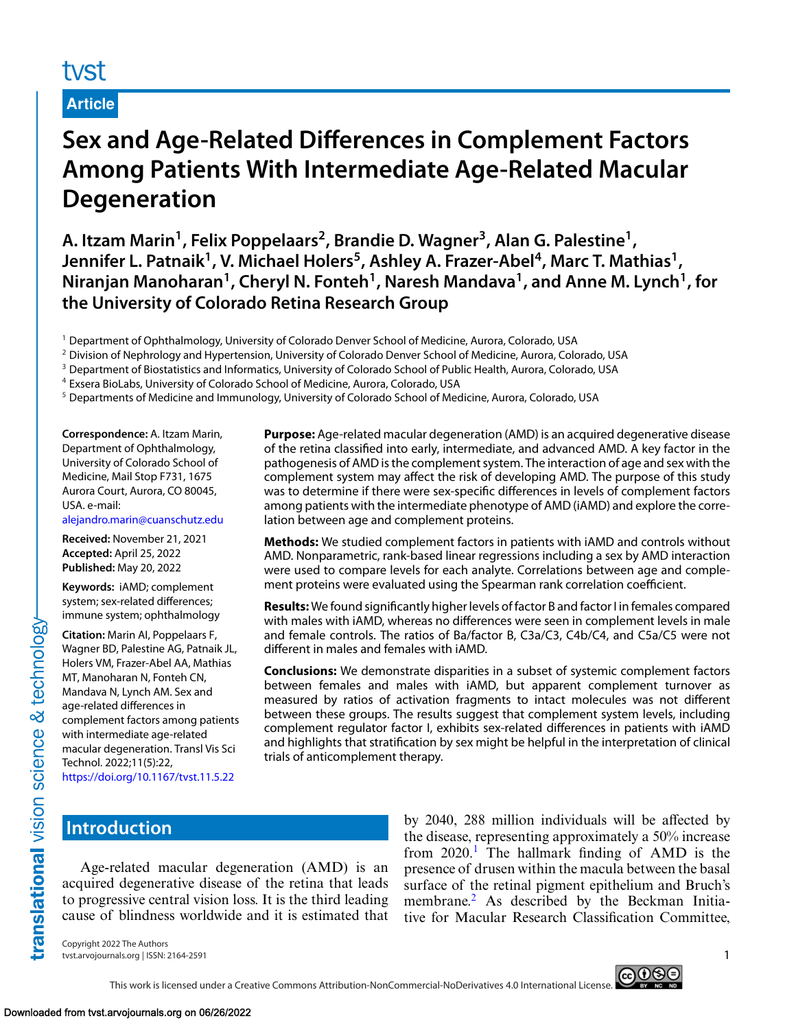# tyst

# **Article**

# **Sex and Age-Related Differences in Complement Factors Among Patients With Intermediate Age-Related Macular Degeneration**

**A. Itzam Marin1, Felix Poppelaars2, Brandie D. Wagner3, Alan G. Palestine1,** Jennifer L. Patnaik<sup>1</sup>, V. Michael Holers<sup>5</sup>, Ashley A. Frazer-Abel<sup>4</sup>, Marc T. Mathias<sup>1</sup>, Niranjan Manoharan<sup>1</sup>, Cheryl N. Fonteh<sup>1</sup>, Naresh Mandava<sup>1</sup>, and Anne M. Lynch<sup>1</sup>, for **the University of Colorado Retina Research Group**

<sup>1</sup> Department of Ophthalmology, University of Colorado Denver School of Medicine, Aurora, Colorado, USA

<sup>2</sup> Division of Nephrology and Hypertension, University of Colorado Denver School of Medicine, Aurora, Colorado, USA

<sup>3</sup> Department of Biostatistics and Informatics, University of Colorado School of Public Health, Aurora, Colorado, USA

<sup>4</sup> Exsera BioLabs, University of Colorado School of Medicine, Aurora, Colorado, USA

<sup>5</sup> Departments of Medicine and Immunology, University of Colorado School of Medicine, Aurora, Colorado, USA

**Correspondence:** A. Itzam Marin, Department of Ophthalmology, University of Colorado School of Medicine, Mail Stop F731, 1675 Aurora Court, Aurora, CO 80045, USA. e-mail:

[alejandro.marin@cuanschutz.edu](mailto:alejandro.marin@cuanschutz.edu)

**Received:** November 21, 2021 **Accepted:** April 25, 2022 **Published:** May 20, 2022

**Keywords:** iAMD; complement system; sex-related differences; immune system; ophthalmology

**Citation:** Marin AI, Poppelaars F, Wagner BD, Palestine AG, Patnaik JL, Holers VM, Frazer-Abel AA, Mathias MT, Manoharan N, Fonteh CN, Mandava N, Lynch AM. Sex and age-related differences in complement factors among patients with intermediate age-related macular degeneration. Transl Vis Sci Technol. 2022;11(5):22, <https://doi.org/10.1167/tvst.11.5.22>

**Purpose:** Age-related macular degeneration (AMD) is an acquired degenerative disease of the retina classified into early, intermediate, and advanced AMD. A key factor in the pathogenesis of AMD is the complement system. The interaction of age and sex with the complement system may affect the risk of developing AMD. The purpose of this study was to determine if there were sex-specific differences in levels of complement factors among patients with the intermediate phenotype of AMD (iAMD) and explore the correlation between age and complement proteins.

**Methods:** We studied complement factors in patients with iAMD and controls without AMD. Nonparametric, rank-based linear regressions including a sex by AMD interaction were used to compare levels for each analyte. Correlations between age and complement proteins were evaluated using the Spearman rank correlation coefficient.

**Results:** We found significantly higher levels of factor B and factor I in females compared with males with iAMD, whereas no differences were seen in complement levels in male and female controls. The ratios of Ba/factor B, C3a/C3, C4b/C4, and C5a/C5 were not different in males and females with iAMD.

**Conclusions:** We demonstrate disparities in a subset of systemic complement factors between females and males with iAMD, but apparent complement turnover as measured by ratios of activation fragments to intact molecules was not different between these groups. The results suggest that complement system levels, including complement regulator factor I, exhibits sex-related differences in patients with iAMD and highlights that stratification by sex might be helpful in the interpretation of clinical trials of anticomplement therapy.

## **Introduction**

translational vision science & technology

Age-related macular degeneration (AMD) is an acquired degenerative disease of the retina that leads to progressive central vision loss. It is the third leading cause of blindness worldwide and it is estimated that

by 2040, 288 million individuals will be affected by the disease, representing approximately a 50% increase from  $2020<sup>1</sup>$  $2020<sup>1</sup>$  $2020<sup>1</sup>$ . The hallmark finding of AMD is the presence of drusen within the macula between the basal surface of the retinal pigment epithelium and Bruch's membrane.<sup>2</sup> As described by the Beckman Initiative for Macular Research Classification Committee,

Copyright 2022 The Authors tvst.arvojournals.org | ISSN: 2164-2591 1



This work is licensed under a Creative Commons Attribution-NonCommercial-NoDerivatives 4.0 International License.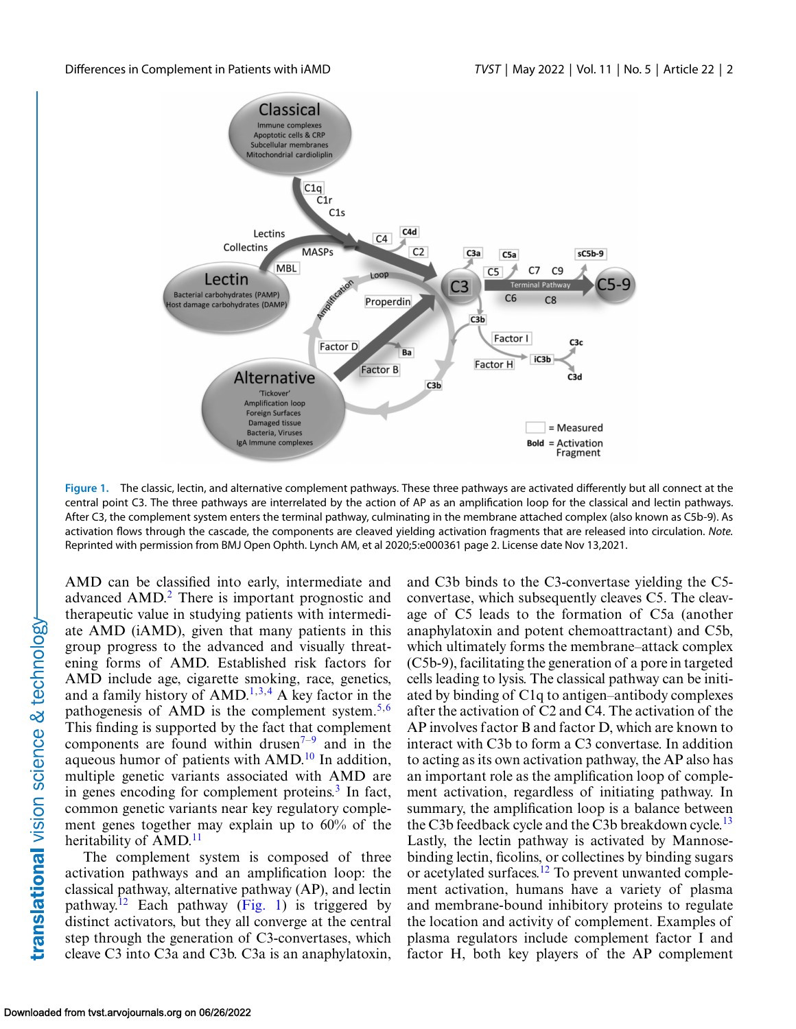

**Figure 1.** The classic, lectin, and alternative complement pathways. These three pathways are activated differently but all connect at the central point C3. The three pathways are interrelated by the action of AP as an amplification loop for the classical and lectin pathways. After C3, the complement system enters the terminal pathway, culminating in the membrane attached complex (also known as C5b-9). As activation flows through the cascade, the components are cleaved yielding activation fragments that are released into circulation. *Note.* Reprinted with permission from BMJ Open Ophth. Lynch AM, et al 2020;5:e000361 page 2. License date Nov 13,2021.

AMD can be classified into early, intermediate and advanced AMD[.2](#page-7-0) There is important prognostic and therapeutic value in studying patients with intermediate AMD (iAMD), given that many patients in this group progress to the advanced and visually threatening forms of AMD. Established risk factors for AMD include age, cigarette smoking, race, genetics, and a family history of  $\text{AMD}^{1,3,4}$  $\text{AMD}^{1,3,4}$  $\text{AMD}^{1,3,4}$  A key factor in the pathogenesis of AMD is the complement system. $5.6$ This finding is supported by the fact that complement components are found within drusen $7-9$  and in the aqueous humor of patients with  $AMD<sup>10</sup>$  $AMD<sup>10</sup>$  $AMD<sup>10</sup>$  In addition, multiple genetic variants associated with AMD are in genes encoding for complement proteins. $\frac{3}{3}$  In fact, common genetic variants near key regulatory complement genes together may explain up to 60% of the heritability of  $AMD<sup>11</sup>$  $AMD<sup>11</sup>$  $AMD<sup>11</sup>$ 

The complement system is composed of three activation pathways and an amplification loop: the classical pathway, alternative pathway (AP), and lectin pathway.<sup>12</sup> Each pathway (Fig. 1) is triggered by distinct activators, but they all converge at the central step through the generation of C3-convertases, which cleave C3 into C3a and C3b. C3a is an anaphylatoxin, and C3b binds to the C3-convertase yielding the C5 convertase, which subsequently cleaves C5. The cleavage of C5 leads to the formation of C5a (another anaphylatoxin and potent chemoattractant) and C5b, which ultimately forms the membrane–attack complex (C5b-9), facilitating the generation of a pore in targeted cells leading to lysis. The classical pathway can be initiated by binding of C1q to antigen–antibody complexes after the activation of C2 and C4. The activation of the AP involves factor B and factor D, which are known to interact with C3b to form a C3 convertase. In addition to acting as its own activation pathway, the AP also has an important role as the amplification loop of complement activation, regardless of initiating pathway. In summary, the amplification loop is a balance between the C3b feedback cycle and the C3b breakdown cycle.<sup>[13](#page-8-0)</sup> Lastly, the lectin pathway is activated by Mannosebinding lectin, ficolins, or collectines by binding sugars or acetylated surfaces[.12](#page-8-0) To prevent unwanted complement activation, humans have a variety of plasma and membrane-bound inhibitory proteins to regulate the location and activity of complement. Examples of plasma regulators include complement factor I and factor H, both key players of the AP complement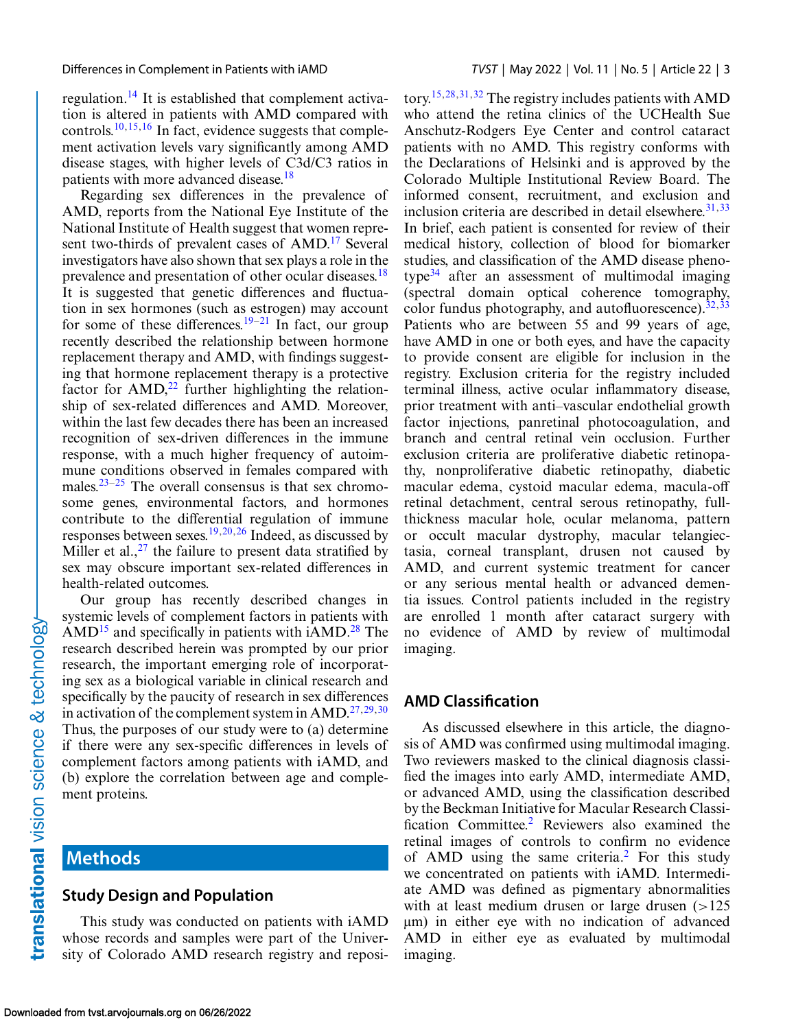regulation.[14](#page-8-0) It is established that complement activation is altered in patients with AMD compared with controls.<sup>[10,15,16](#page-8-0)</sup> In fact, evidence suggests that complement activation levels vary significantly among AMD disease stages, with higher levels of C3d/C3 ratios in patients with more advanced disease.<sup>[18](#page-8-0)</sup>

Regarding sex differences in the prevalence of AMD, reports from the National Eye Institute of the National Institute of Health suggest that women represent two-thirds of prevalent cases of AMD.<sup>17</sup> Several investigators have also shown that sex plays a role in the prevalence and presentation of other ocular diseases.<sup>18</sup> It is suggested that genetic differences and fluctuation in sex hormones (such as estrogen) may account for some of these differences.<sup>[19–21](#page-8-0)</sup> In fact, our group recently described the relationship between hormone replacement therapy and AMD, with findings suggesting that hormone replacement therapy is a protective factor for  $\text{AMD},^{22}$  $\text{AMD},^{22}$  $\text{AMD},^{22}$  further highlighting the relationship of sex-related differences and AMD. Moreover, within the last few decades there has been an increased recognition of sex-driven differences in the immune response, with a much higher frequency of autoimmune conditions observed in females compared with males. $23-25$  The overall consensus is that sex chromosome genes, environmental factors, and hormones contribute to the differential regulation of immune responses between sexes[.19,20,26](#page-8-0) Indeed, as discussed by Miller et al.,  $27$  the failure to present data stratified by sex may obscure important sex-related differences in health-related outcomes.

Our group has recently described changes in systemic levels of complement factors in patients with  $\text{AMD}^{15}$  $\text{AMD}^{15}$  $\text{AMD}^{15}$  and specifically in patients with  $\text{iAMD}^{28}$  $\text{iAMD}^{28}$  $\text{iAMD}^{28}$  The research described herein was prompted by our prior research, the important emerging role of incorporating sex as a biological variable in clinical research and specifically by the paucity of research in sex differences in activation of the complement system in  $\text{AMD}^{27,29,30}$  $\text{AMD}^{27,29,30}$  $\text{AMD}^{27,29,30}$  $\text{AMD}^{27,29,30}$ Thus, the purposes of our study were to (a) determine if there were any sex-specific differences in levels of complement factors among patients with iAMD, and (b) explore the correlation between age and complement proteins.

## **Methods**

#### **Study Design and Population**

This study was conducted on patients with iAMD whose records and samples were part of the University of Colorado AMD research registry and reposi-

tory[.15,](#page-8-0)[28,31,32](#page-9-0) The registry includes patients with AMD who attend the retina clinics of the UCHealth Sue Anschutz-Rodgers Eye Center and control cataract patients with no AMD. This registry conforms with the Declarations of Helsinki and is approved by the Colorado Multiple Institutional Review Board. The informed consent, recruitment, and exclusion and inclusion criteria are described in detail elsewhere. $31,33$ In brief, each patient is consented for review of their medical history, collection of blood for biomarker studies, and classification of the AMD disease phenotype $34$  after an assessment of multimodal imaging (spectral domain optical coherence tomography, color fundus photography, and autofluorescence). $32,33$ Patients who are between 55 and 99 years of age, have AMD in one or both eyes, and have the capacity to provide consent are eligible for inclusion in the registry. Exclusion criteria for the registry included terminal illness, active ocular inflammatory disease, prior treatment with anti–vascular endothelial growth factor injections, panretinal photocoagulation, and branch and central retinal vein occlusion. Further exclusion criteria are proliferative diabetic retinopathy, nonproliferative diabetic retinopathy, diabetic macular edema, cystoid macular edema, macula-off retinal detachment, central serous retinopathy, fullthickness macular hole, ocular melanoma, pattern or occult macular dystrophy, macular telangiectasia, corneal transplant, drusen not caused by AMD, and current systemic treatment for cancer or any serious mental health or advanced dementia issues. Control patients included in the registry are enrolled 1 month after cataract surgery with no evidence of AMD by review of multimodal imaging.

#### **AMD Classification**

As discussed elsewhere in this article, the diagnosis of AMD was confirmed using multimodal imaging. Two reviewers masked to the clinical diagnosis classified the images into early AMD, intermediate AMD, or advanced AMD, using the classification described by the Beckman Initiative for Macular Research Classification Committee.[2](#page-7-0) Reviewers also examined the retinal images of controls to confirm no evidence of AMD using the same criteria.[2](#page-7-0) For this study we concentrated on patients with iAMD. Intermediate AMD was defined as pigmentary abnormalities with at least medium drusen or large drusen  $(>125$ μm) in either eye with no indication of advanced AMD in either eye as evaluated by multimodal imaging.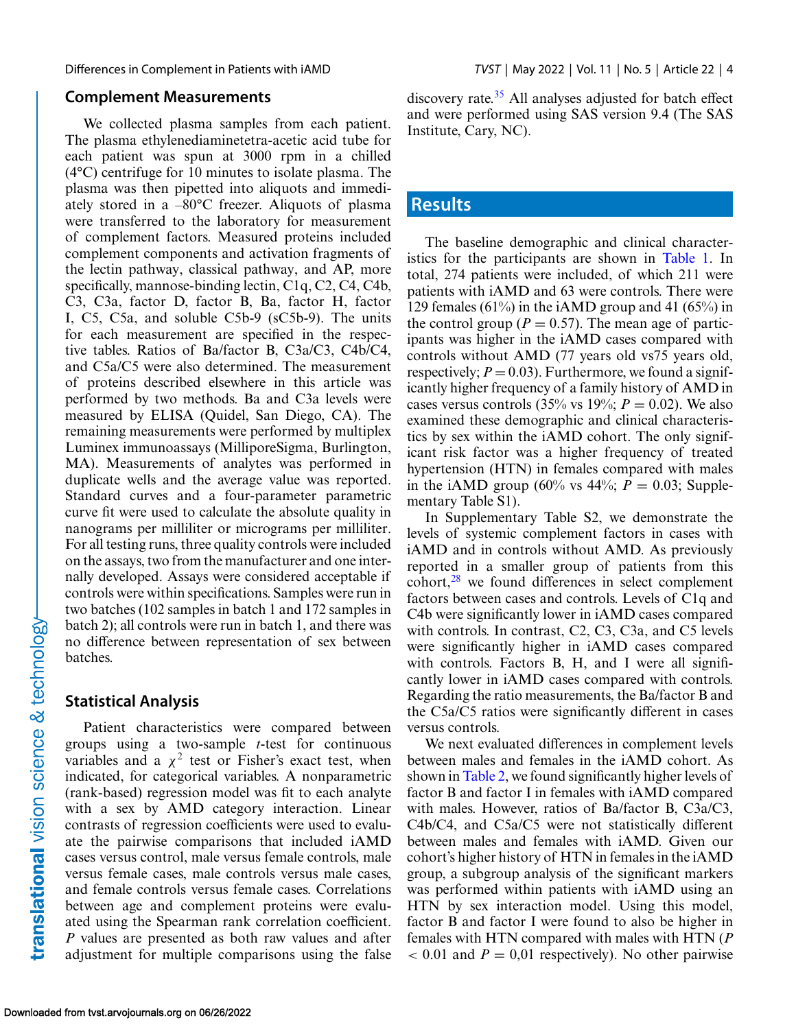Differences in Complement in Patients with iAMD *TVST* | May 2022 | Vol. 11 | No. 5 | Article 22 | 4

#### **Complement Measurements**

We collected plasma samples from each patient. The plasma ethylenediaminetetra-acetic acid tube for each patient was spun at 3000 rpm in a chilled (4°C) centrifuge for 10 minutes to isolate plasma. The plasma was then pipetted into aliquots and immediately stored in a –80°C freezer. Aliquots of plasma were transferred to the laboratory for measurement of complement factors. Measured proteins included complement components and activation fragments of the lectin pathway, classical pathway, and AP, more specifically, mannose-binding lectin, C1q, C2, C4, C4b, C3, C3a, factor D, factor B, Ba, factor H, factor I, C5, C5a, and soluble C5b-9 (sC5b-9). The units for each measurement are specified in the respective tables. Ratios of Ba/factor B, C3a/C3, C4b/C4, and C5a/C5 were also determined. The measurement of proteins described elsewhere in this article was performed by two methods. Ba and C3a levels were measured by ELISA (Quidel, San Diego, CA). The remaining measurements were performed by multiplex Luminex immunoassays (MilliporeSigma, Burlington, MA). Measurements of analytes was performed in duplicate wells and the average value was reported. Standard curves and a four-parameter parametric curve fit were used to calculate the absolute quality in nanograms per milliliter or micrograms per milliliter. For all testing runs, three quality controls were included on the assays, two from the manufacturer and one internally developed. Assays were considered acceptable if controls were within specifications. Samples were run in two batches (102 samples in batch 1 and 172 samples in batch 2); all controls were run in batch 1, and there was no difference between representation of sex between batches.

#### **Statistical Analysis**

Patient characteristics were compared between groups using a two-sample *t*-test for continuous variables and a  $\chi^2$  test or Fisher's exact test, when indicated, for categorical variables. A nonparametric (rank-based) regression model was fit to each analyte with a sex by AMD category interaction. Linear contrasts of regression coefficients were used to evaluate the pairwise comparisons that included iAMD cases versus control, male versus female controls, male versus female cases, male controls versus male cases, and female controls versus female cases. Correlations between age and complement proteins were evaluated using the Spearman rank correlation coefficient. *P* values are presented as both raw values and after adjustment for multiple comparisons using the false discovery rate. $35$  All analyses adjusted for batch effect and were performed using SAS version 9.4 (The SAS Institute, Cary, NC).

## **Results**

The baseline demographic and clinical characteristics for the participants are shown in [Table 1.](#page-4-0) In total, 274 patients were included, of which 211 were patients with iAMD and 63 were controls. There were 129 females (61%) in the iAMD group and 41 (65%) in the control group ( $P = 0.57$ ). The mean age of participants was higher in the iAMD cases compared with controls without AMD (77 years old vs75 years old, respectively;  $P = 0.03$ ). Furthermore, we found a significantly higher frequency of a family history of AMD in cases versus controls (35% vs 19%;  $P = 0.02$ ). We also examined these demographic and clinical characteristics by sex within the iAMD cohort. The only significant risk factor was a higher frequency of treated hypertension (HTN) in females compared with males in the iAMD group (60% vs  $44\%$ ;  $P = 0.03$ ; Supplementary Table S1).

In Supplementary Table S2, we demonstrate the levels of systemic complement factors in cases with iAMD and in controls without AMD. As previously reported in a smaller group of patients from this cohort,[28](#page-9-0) we found differences in select complement factors between cases and controls. Levels of C1q and C4b were significantly lower in iAMD cases compared with controls. In contrast, C<sub>2</sub>, C<sub>3</sub>, C<sub>3</sub><sub>a</sub>, and C<sub>5</sub><sup>levels</sup> were significantly higher in iAMD cases compared with controls. Factors B, H, and I were all significantly lower in iAMD cases compared with controls. Regarding the ratio measurements, the Ba/factor B and the C5a/C5 ratios were significantly different in cases versus controls.

We next evaluated differences in complement levels between males and females in the iAMD cohort. As shown in [Table 2,](#page-4-0) we found significantly higher levels of factor B and factor I in females with iAMD compared with males. However, ratios of Ba/factor B, C3a/C3, C4b/C4, and C5a/C5 were not statistically different between males and females with iAMD. Given our cohort's higher history of HTN in females in the iAMD group, a subgroup analysis of the significant markers was performed within patients with iAMD using an HTN by sex interaction model. Using this model, factor B and factor I were found to also be higher in females with HTN compared with males with HTN (*P*  $0.01$  and  $P = 0.01$  respectively). No other pairwise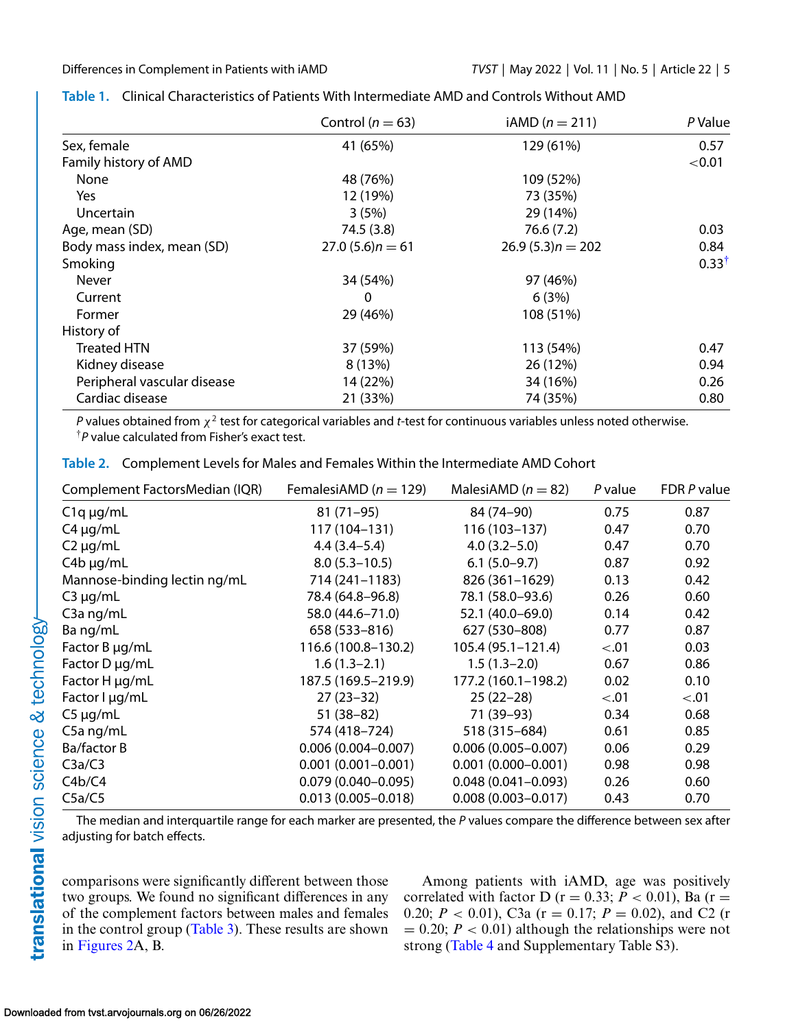|                             | Control ( $n = 63$ ) | $iAMD (n = 211)$   | P Value          |
|-----------------------------|----------------------|--------------------|------------------|
| Sex, female                 | 41 (65%)             | 129 (61%)          | 0.57             |
| Family history of AMD       |                      |                    | < 0.01           |
| None                        | 48 (76%)             | 109 (52%)          |                  |
| Yes                         | 12 (19%)             | 73 (35%)           |                  |
| Uncertain                   | 3(5%)                | 29 (14%)           |                  |
| Age, mean (SD)              | 74.5 (3.8)           | 76.6(7.2)          | 0.03             |
| Body mass index, mean (SD)  | $27.0(5.6)n = 61$    | $26.9(5.3)n = 202$ | 0.84             |
| Smoking                     |                      |                    | $0.33^{\dagger}$ |
| Never                       | 34 (54%)             | 97 (46%)           |                  |
| Current                     | 0                    | 6(3%)              |                  |
| Former                      | 29 (46%)             | 108 (51%)          |                  |
| History of                  |                      |                    |                  |
| <b>Treated HTN</b>          | 37 (59%)             | 113 (54%)          | 0.47             |
| Kidney disease              | 8 (13%)              | 26 (12%)           | 0.94             |
| Peripheral vascular disease | 14 (22%)             | 34 (16%)           | 0.26             |
| Cardiac disease             | 21 (33%)             | 74 (35%)           | 0.80             |

### <span id="page-4-0"></span>**Table 1.** Clinical Characteristics of Patients With Intermediate AMD and Controls Without AMD

*P* values obtained from  $\chi^2$  test for categorical variables and *t*-test for continuous variables unless noted otherwise. †*P* value calculated from Fisher's exact test.

|  | Table 2. Complement Levels for Males and Females Within the Intermediate AMD Cohort |  |  |  |
|--|-------------------------------------------------------------------------------------|--|--|--|
|--|-------------------------------------------------------------------------------------|--|--|--|

| Complement FactorsMedian (IQR) | FemalesiAMD ( $n = 129$ ) | MalesiAMD ( $n = 82$ ) | $P$ value | FDR P value |
|--------------------------------|---------------------------|------------------------|-----------|-------------|
| $C1q \mu g/mL$                 | $81(71-95)$               | 84 (74-90)             | 0.75      | 0.87        |
| $C4 \mu q/mL$                  | 117 (104–131)             | 116 (103-137)          | 0.47      | 0.70        |
| $C2 \mu q/mL$                  | $4.4(3.4 - 5.4)$          | $4.0(3.2 - 5.0)$       | 0.47      | 0.70        |
| $C4b \mu g/mL$                 | $8.0(5.3 - 10.5)$         | $6.1(5.0-9.7)$         | 0.87      | 0.92        |
| Mannose-binding lectin ng/mL   | 714 (241-1183)            | 826 (361-1629)         | 0.13      | 0.42        |
| $C3 \mu q/mL$                  | 78.4 (64.8-96.8)          | 78.1 (58.0-93.6)       | 0.26      | 0.60        |
| $C3a$ ng/mL                    | 58.0 (44.6-71.0)          | 52.1 (40.0-69.0)       | 0.14      | 0.42        |
| Ba ng/mL                       | 658 (533-816)             | 627 (530-808)          | 0.77      | 0.87        |
| Factor B µg/mL                 | 116.6 (100.8-130.2)       | $105.4(95.1 - 121.4)$  | < 0.01    | 0.03        |
| Factor D µg/mL                 | $1.6(1.3-2.1)$            | $1.5(1.3-2.0)$         | 0.67      | 0.86        |
| Factor H µg/mL                 | 187.5 (169.5-219.9)       | 177.2 (160.1-198.2)    | 0.02      | 0.10        |
| Factor I µg/mL                 | $27(23-32)$               | $25(22-28)$            | < 0.01    | < 0.01      |
| $C5 \mu g/mL$                  | 51 (38-82)                | 71 (39–93)             | 0.34      | 0.68        |
| $C5a$ ng/mL                    | 574 (418-724)             | 518 (315-684)          | 0.61      | 0.85        |
| Ba/factor B                    | $0.006(0.004 - 0.007)$    | $0.006(0.005 - 0.007)$ | 0.06      | 0.29        |
| C3a/C3                         | $0.001(0.001 - 0.001)$    | $0.001(0.000 - 0.001)$ | 0.98      | 0.98        |
| C4b/C4                         | $0.079(0.040 - 0.095)$    | $0.048(0.041 - 0.093)$ | 0.26      | 0.60        |
| C5a/C5                         | $0.013(0.005 - 0.018)$    | $0.008(0.003 - 0.017)$ | 0.43      | 0.70        |

The median and interquartile range for each marker are presented, the *P* values compare the difference between sex after adjusting for batch effects.

comparisons were significantly different between those two groups. We found no significant differences in any of the complement factors between males and females in the control group [\(Table 3\)](#page-5-0). These results are shown in [Figures 2A](#page-5-0), B.

Among patients with iAMD, age was positively correlated with factor D ( $r = 0.33$ ;  $P < 0.01$ ), Ba ( $r =$ 0.20;  $P < 0.01$ ), C3a (r = 0.17;  $P = 0.02$ ), and C2 (r  $= 0.20$ ;  $P < 0.01$ ) although the relationships were not strong [\(Table 4](#page-6-0) and Supplementary Table S3).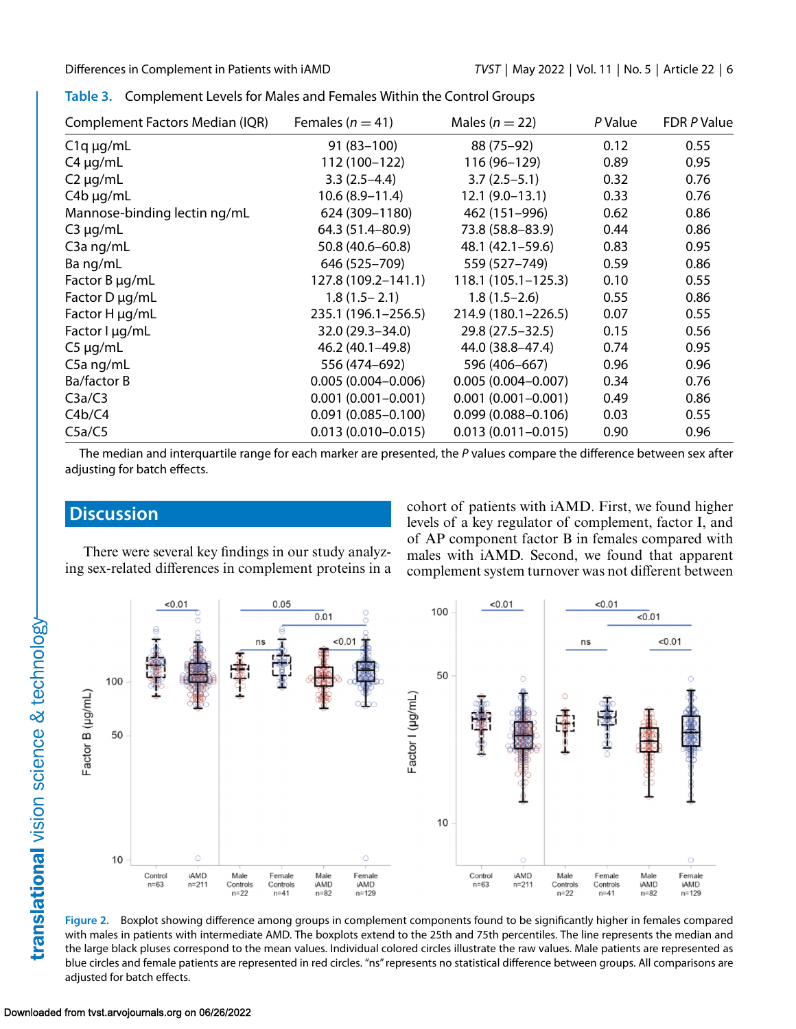| Complement Factors Median (IQR) | Females ( $n = 41$ )   | Males ( $n = 22$ )     | P Value | FDR P Value |
|---------------------------------|------------------------|------------------------|---------|-------------|
| $C1q \mu g/mL$                  | $91(83-100)$           | 88 (75-92)             | 0.12    | 0.55        |
| $C4 \mu q/mL$                   | 112 (100-122)          | 116 (96-129)           | 0.89    | 0.95        |
| $C2 \mu q/mL$                   | $3.3(2.5-4.4)$         | $3.7(2.5-5.1)$         | 0.32    | 0.76        |
| $C4b \mu g/mL$                  | $10.6(8.9-11.4)$       | $12.1(9.0-13.1)$       | 0.33    | 0.76        |
| Mannose-binding lectin ng/mL    | 624 (309-1180)         | 462 (151-996)          | 0.62    | 0.86        |
| $C3 \mu g/mL$                   | 64.3 (51.4-80.9)       | 73.8 (58.8-83.9)       | 0.44    | 0.86        |
| $C3a$ ng/mL                     | 50.8 (40.6-60.8)       | 48.1 (42.1-59.6)       | 0.83    | 0.95        |
| Ba ng/mL                        | 646 (525-709)          | 559 (527-749)          | 0.59    | 0.86        |
| Factor B µg/mL                  | 127.8 (109.2-141.1)    | $118.1(105.1 - 125.3)$ | 0.10    | 0.55        |
| Factor D µg/mL                  | $1.8(1.5 - 2.1)$       | $1.8(1.5-2.6)$         | 0.55    | 0.86        |
| Factor H µg/mL                  | 235.1 (196.1-256.5)    | 214.9 (180.1-226.5)    | 0.07    | 0.55        |
| Factor I µg/mL                  | 32.0 (29.3-34.0)       | 29.8 (27.5 - 32.5)     | 0.15    | 0.56        |
| $C5 \mu g/mL$                   | 46.2 (40.1-49.8)       | 44.0 (38.8–47.4)       | 0.74    | 0.95        |
| C5a ng/mL                       | 556 (474-692)          | 596 (406-667)          | 0.96    | 0.96        |
| Ba/factor B                     | $0.005(0.004 - 0.006)$ | $0.005(0.004 - 0.007)$ | 0.34    | 0.76        |
| C3a/C3                          | $0.001(0.001 - 0.001)$ | $0.001(0.001 - 0.001)$ | 0.49    | 0.86        |
| C4b/C4                          | $0.091(0.085 - 0.100)$ | $0.099(0.088 - 0.106)$ | 0.03    | 0.55        |
| C5a/C5                          | $0.013(0.010 - 0.015)$ | $0.013(0.011 - 0.015)$ | 0.90    | 0.96        |

<span id="page-5-0"></span>

|  | Table 3. Complement Levels for Males and Females Within the Control Groups |  |
|--|----------------------------------------------------------------------------|--|
|--|----------------------------------------------------------------------------|--|

The median and interquartile range for each marker are presented, the *P* values compare the difference between sex after adjusting for batch effects.

## **Discussion**

There were several key findings in our study analyzing sex-related differences in complement proteins in a cohort of patients with iAMD. First, we found higher levels of a key regulator of complement, factor I, and of AP component factor B in females compared with males with iAMD. Second, we found that apparent complement system turnover was not different between



**Figure 2.** Boxplot showing difference among groups in complement components found to be significantly higher in females compared with males in patients with intermediate AMD. The boxplots extend to the 25th and 75th percentiles. The line represents the median and the large black pluses correspond to the mean values. Individual colored circles illustrate the raw values. Male patients are represented as blue circles and female patients are represented in red circles. "ns" represents no statistical difference between groups. All comparisons are adjusted for batch effects.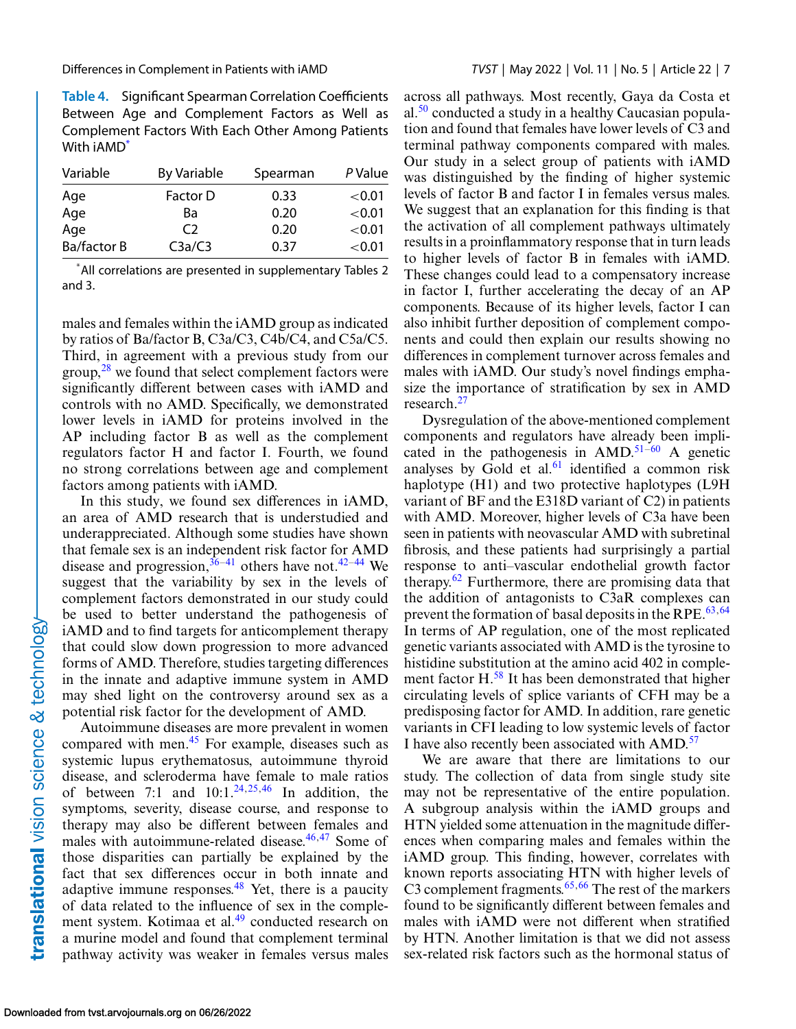<span id="page-6-0"></span>

**Table 4.** Significant Spearman Correlation Coefficients Between Age and Complement Factors as Well as Complement Factors With Each Other Among Patients With iAMD\*

| Variable    | <b>By Variable</b> | Spearman | P Value   |
|-------------|--------------------|----------|-----------|
| Age         | Factor D           | 0.33     | ${<}0.01$ |
| Age         | Ba                 | 0.20     | ${<}0.01$ |
| Age         | C <sub>2</sub>     | 0.20     | ${<}0.01$ |
| Ba/factor B | C3a/C3             | 0.37     | ${<}0.01$ |

\* All correlations are presented in supplementary Tables 2 and 3.

males and females within the iAMD group as indicated by ratios of Ba/factor B, C3a/C3, C4b/C4, and C5a/C5. Third, in agreement with a previous study from our group, $^{28}$  we found that select complement factors were significantly different between cases with iAMD and controls with no AMD. Specifically, we demonstrated lower levels in iAMD for proteins involved in the AP including factor B as well as the complement regulators factor H and factor I. Fourth, we found no strong correlations between age and complement factors among patients with iAMD.

In this study, we found sex differences in iAMD, an area of AMD research that is understudied and underappreciated. Although some studies have shown that female sex is an independent risk factor for AMD disease and progression,  $36-41$  others have not.<sup>42–44</sup> We suggest that the variability by sex in the levels of complement factors demonstrated in our study could be used to better understand the pathogenesis of iAMD and to find targets for anticomplement therapy that could slow down progression to more advanced forms of AMD. Therefore, studies targeting differences in the innate and adaptive immune system in AMD may shed light on the controversy around sex as a potential risk factor for the development of AMD.

Autoimmune diseases are more prevalent in women compared with men.<sup>45</sup> For example, diseases such as systemic lupus erythematosus, autoimmune thyroid disease, and scleroderma have female to male ratios of between 7:1 and  $10:1.^{24,25,46}$  $10:1.^{24,25,46}$  $10:1.^{24,25,46}$  $10:1.^{24,25,46}$  In addition, the symptoms, severity, disease course, and response to therapy may also be different between females and males with autoimmune-related disease. $46,47$  Some of those disparities can partially be explained by the fact that sex differences occur in both innate and adaptive immune responses.  $48$  Yet, there is a paucity of data related to the influence of sex in the comple-ment system. Kotimaa et al.<sup>[49](#page-10-0)</sup> conducted research on a murine model and found that complement terminal pathway activity was weaker in females versus males across all pathways. Most recently, Gaya da Costa et al. $50$  conducted a study in a healthy Caucasian population and found that females have lower levels of C3 and terminal pathway components compared with males. Our study in a select group of patients with iAMD was distinguished by the finding of higher systemic levels of factor B and factor I in females versus males. We suggest that an explanation for this finding is that the activation of all complement pathways ultimately results in a proinflammatory response that in turn leads to higher levels of factor B in females with iAMD. These changes could lead to a compensatory increase in factor I, further accelerating the decay of an AP components. Because of its higher levels, factor I can also inhibit further deposition of complement components and could then explain our results showing no differences in complement turnover across females and males with iAMD. Our study's novel findings emphasize the importance of stratification by sex in AMD research.<sup>[27](#page-8-0)</sup>

Dysregulation of the above-mentioned complement components and regulators have already been implicated in the pathogenesis in  $AMD.<sup>51-60</sup>$  A genetic analyses by Gold et al. $61$  identified a common risk haplotype (H1) and two protective haplotypes (L9H variant of BF and the E318D variant of C2) in patients with AMD. Moreover, higher levels of C3a have been seen in patients with neovascular AMD with subretinal fibrosis, and these patients had surprisingly a partial response to anti–vascular endothelial growth factor therapy. $62$  Furthermore, there are promising data that the addition of antagonists to C3aR complexes can prevent the formation of basal deposits in the RPE. $63,64$ In terms of AP regulation, one of the most replicated genetic variants associated with AMD is the tyrosine to histidine substitution at the amino acid 402 in comple-ment factor H.<sup>[58](#page-10-0)</sup> It has been demonstrated that higher circulating levels of splice variants of CFH may be a predisposing factor for AMD. In addition, rare genetic variants in CFI leading to low systemic levels of factor I have also recently been associated with AMD.[57](#page-10-0)

We are aware that there are limitations to our study. The collection of data from single study site may not be representative of the entire population. A subgroup analysis within the iAMD groups and HTN yielded some attenuation in the magnitude differences when comparing males and females within the iAMD group. This finding, however, correlates with known reports associating HTN with higher levels of C3 complement fragments. $65,66$  The rest of the markers found to be significantly different between females and males with iAMD were not different when stratified by HTN. Another limitation is that we did not assess sex-related risk factors such as the hormonal status of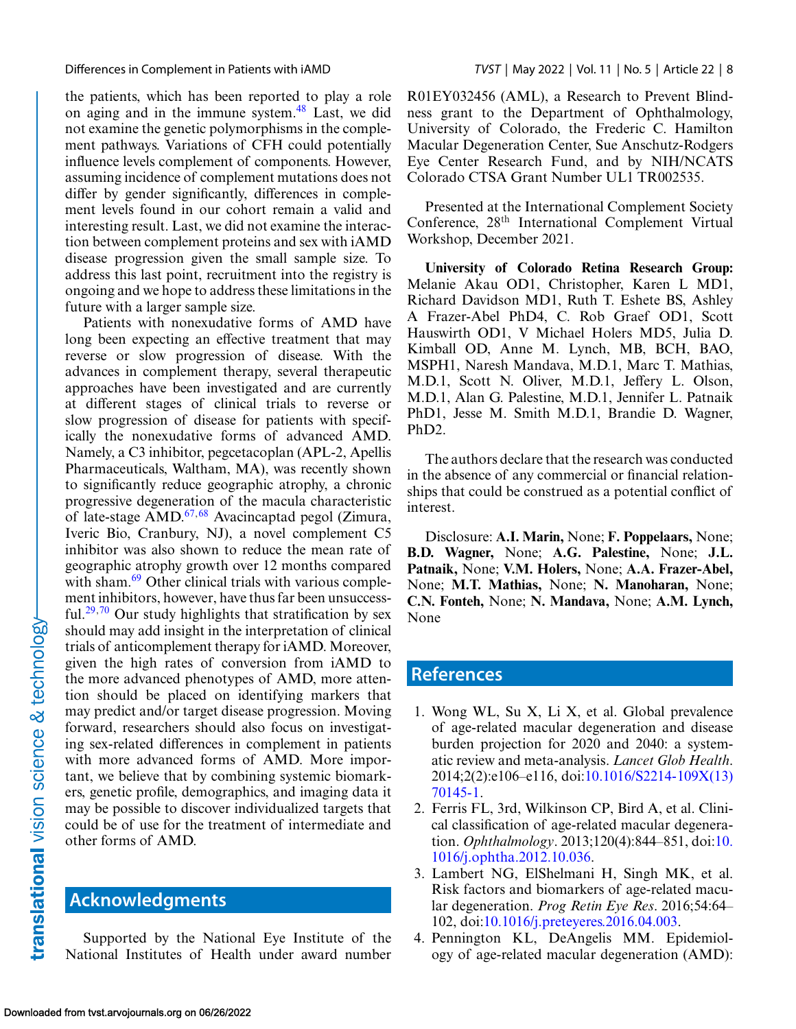<span id="page-7-0"></span>the patients, which has been reported to play a role on aging and in the immune system.[48](#page-9-0) Last, we did not examine the genetic polymorphisms in the complement pathways. Variations of CFH could potentially influence levels complement of components. However, assuming incidence of complement mutations does not differ by gender significantly, differences in complement levels found in our cohort remain a valid and interesting result. Last, we did not examine the interaction between complement proteins and sex with iAMD disease progression given the small sample size. To address this last point, recruitment into the registry is ongoing and we hope to address these limitations in the future with a larger sample size.

Patients with nonexudative forms of AMD have long been expecting an effective treatment that may reverse or slow progression of disease. With the advances in complement therapy, several therapeutic approaches have been investigated and are currently at different stages of clinical trials to reverse or slow progression of disease for patients with specifically the nonexudative forms of advanced AMD. Namely, a C3 inhibitor, pegcetacoplan (APL-2, Apellis Pharmaceuticals, Waltham, MA), was recently shown to significantly reduce geographic atrophy, a chronic progressive degeneration of the macula characteristic of late-stage  $\overline{AMD}$ .<sup>67,68</sup> Avacincaptad pegol (Zimura, Iveric Bio, Cranbury, NJ), a novel complement C5 inhibitor was also shown to reduce the mean rate of geographic atrophy growth over 12 months compared with sham.<sup>[69](#page-11-0)</sup> Other clinical trials with various complement inhibitors, however, have thus far been unsuccess-ful.<sup>29,[70](#page-11-0)</sup> Our study highlights that stratification by sex should may add insight in the interpretation of clinical trials of anticomplement therapy for iAMD. Moreover, given the high rates of conversion from iAMD to the more advanced phenotypes of AMD, more attention should be placed on identifying markers that may predict and/or target disease progression. Moving forward, researchers should also focus on investigating sex-related differences in complement in patients with more advanced forms of AMD. More important, we believe that by combining systemic biomarkers, genetic profile, demographics, and imaging data it may be possible to discover individualized targets that could be of use for the treatment of intermediate and other forms of AMD.

## **Acknowledgments**

Supported by the National Eye Institute of the National Institutes of Health under award number R01EY032456 (AML), a Research to Prevent Blindness grant to the Department of Ophthalmology, University of Colorado, the Frederic C. Hamilton Macular Degeneration Center, Sue Anschutz-Rodgers Eye Center Research Fund, and by NIH/NCATS Colorado CTSA Grant Number UL1 TR002535.

Presented at the International Complement Society Conference, 28th International Complement Virtual Workshop, December 2021.

**University of Colorado Retina Research Group:** Melanie Akau OD1, Christopher, Karen L MD1, Richard Davidson MD1, Ruth T. Eshete BS, Ashley A Frazer-Abel PhD4, C. Rob Graef OD1, Scott Hauswirth OD1, V Michael Holers MD5, Julia D. Kimball OD, Anne M. Lynch, MB, BCH, BAO, MSPH1, Naresh Mandava, M.D.1, Marc T. Mathias, M.D.1, Scott N. Oliver, M.D.1, Jeffery L. Olson, M.D.1, Alan G. Palestine, M.D.1, Jennifer L. Patnaik PhD1, Jesse M. Smith M.D.1, Brandie D. Wagner, PhD2.

The authors declare that the research was conducted in the absence of any commercial or financial relationships that could be construed as a potential conflict of interest.

Disclosure: **A.I. Marin,** None; **F. Poppelaars,** None; **B.D. Wagner,** None; **A.G. Palestine,** None; **J.L. Patnaik,** None; **V.M. Holers,** None; **A.A. Frazer-Abel,** None; **M.T. Mathias,** None; **N. Manoharan,** None; **C.N. Fonteh,** None; **N. Mandava,** None; **A.M. Lynch,** None

## **References**

- 1. Wong WL, Su X, Li X, et al. Global prevalence of age-related macular degeneration and disease burden projection for 2020 and 2040: a systematic review and meta-analysis. *Lancet Glob Health*. [2014;2\(2\):e106–e116, doi:10.1016/S2214-109X\(13\)](http://doi.org/10.1016/S2214-109X(13)70145-1) 70145-1.
- 2. Ferris FL, 3rd, Wilkinson CP, Bird A, et al. Clinical classification of age-related macular degeneration. *Ophthalmology*[. 2013;120\(4\):844–851, doi:10.](http://doi.org/10.1016/j.ophtha.2012.10.036) 1016/j.ophtha.2012.10.036.
- 3. Lambert NG, ElShelmani H, Singh MK, et al. Risk factors and biomarkers of age-related macular degeneration. *Prog Retin Eye Res*. 2016;54:64– 102, doi[:10.1016/j.preteyeres.2016.04.003.](http://doi.org/10.1016/j.preteyeres.2016.04.003)
- 4. Pennington KL, DeAngelis MM. Epidemiology of age-related macular degeneration (AMD):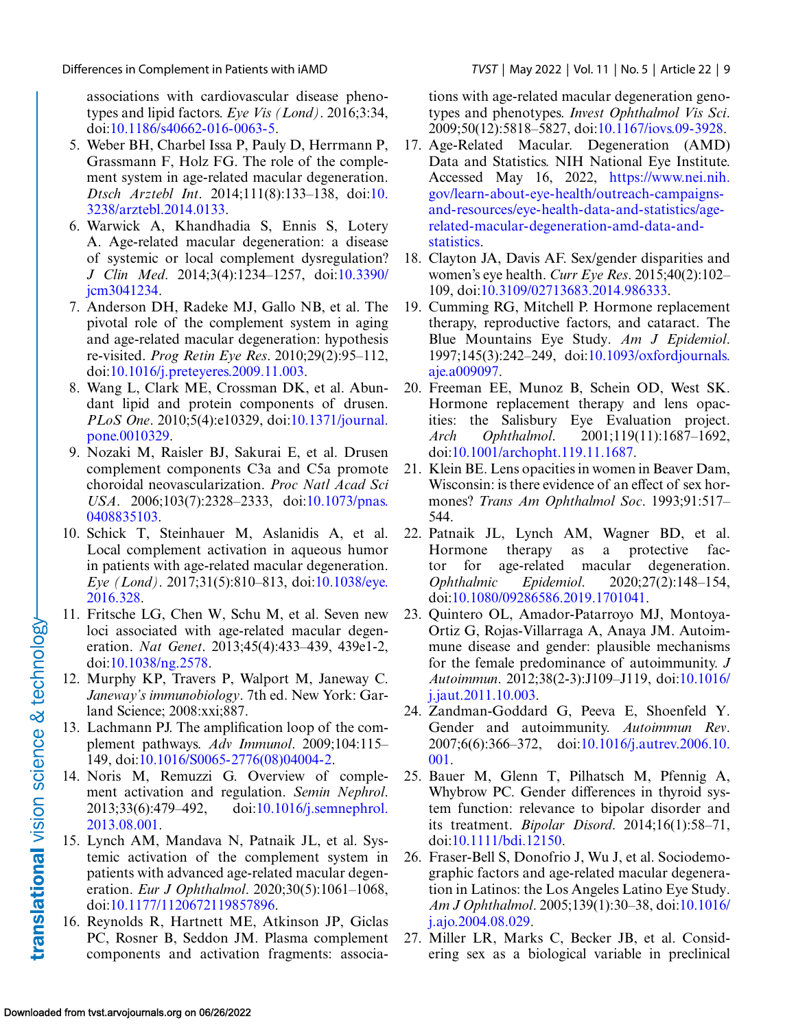<span id="page-8-0"></span>associations with cardiovascular disease phenotypes and lipid factors. *Eye Vis (Lond)*. 2016;3:34, doi[:10.1186/s40662-016-0063-5.](http://doi.org/10.1186/s40662-016-0063-5)

- 5. Weber BH, Charbel Issa P, Pauly D, Herrmann P, Grassmann F, Holz FG. The role of the complement system in age-related macular degeneration. *Dtsch Arztebl Int*[. 2014;111\(8\):133–138, doi:10.](http://doi.org/10.3238/arztebl.2014.0133) 3238/arztebl.2014.0133.
- 6. Warwick A, Khandhadia S, Ennis S, Lotery A. Age-related macular degeneration: a disease of systemic or local complement dysregulation? *J Clin Med*[. 2014;3\(4\):1234–1257, doi:10.3390/](http://doi.org/10.3390/jcm3041234) jcm3041234.
- 7. Anderson DH, Radeke MJ, Gallo NB, et al. The pivotal role of the complement system in aging and age-related macular degeneration: hypothesis re-visited. *Prog Retin Eye Res*. 2010;29(2):95–112, doi[:10.1016/j.preteyeres.2009.11.003.](http://doi.org/10.1016/j.preteyeres.2009.11.003)
- 8. Wang L, Clark ME, Crossman DK, et al. Abundant lipid and protein components of drusen. *PLoS One*[. 2010;5\(4\):e10329, doi:10.1371/journal.](http://doi.org/10.1371/journal.pone.0010329) pone.0010329.
- 9. Nozaki M, Raisler BJ, Sakurai E, et al. Drusen complement components C3a and C5a promote choroidal neovascularization. *Proc Natl Acad Sci USA*[. 2006;103\(7\):2328–2333, doi:10.1073/pnas.](http://doi.org/10.1073/pnas.0408835103) 0408835103.
- 10. Schick T, Steinhauer M, Aslanidis A, et al. Local complement activation in aqueous humor in patients with age-related macular degeneration. *Eye (Lond)*[. 2017;31\(5\):810–813, doi:10.1038/eye.](http://doi.org/10.1038/eye.2016.328) 2016.328.
- 11. Fritsche LG, Chen W, Schu M, et al. Seven new loci associated with age-related macular degeneration. *Nat Genet*. 2013;45(4):433–439, 439e1-2, doi[:10.1038/ng.2578.](http://doi.org/10.1038/ng.2578)
- 12. Murphy KP, Travers P, Walport M, Janeway C. *Janeway's immunobiology*. 7th ed. New York: Garland Science; 2008:xxi;887.
- 13. Lachmann PJ. The amplification loop of the complement pathways. *Adv Immunol*. 2009;104:115– 149, doi[:10.1016/S0065-2776\(08\)04004-2.](http://doi.org/10.1016/S0065-2776(08)04004-2)
- 14. Noris M, Remuzzi G. Overview of complement activation and regulation. *Semin Nephrol*. [2013;33\(6\):479–492, doi:10.1016/j.semnephrol.](http://doi.org/10.1016/j.semnephrol.2013.08.001) 2013.08.001.
- 15. Lynch AM, Mandava N, Patnaik JL, et al. Systemic activation of the complement system in patients with advanced age-related macular degeneration. *Eur J Ophthalmol*. 2020;30(5):1061–1068, doi[:10.1177/1120672119857896.](http://doi.org/10.1177/1120672119857896)
- 16. Reynolds R, Hartnett ME, Atkinson JP, Giclas PC, Rosner B, Seddon JM. Plasma complement components and activation fragments: associa-

tions with age-related macular degeneration genotypes and phenotypes. *Invest Ophthalmol Vis Sci*. 2009;50(12):5818–5827, doi[:10.1167/iovs.09-3928.](http://doi.org/10.1167/iovs.09-3928)

- 17. Age-Related Macular. Degeneration (AMD) Data and Statistics. NIH National Eye Institute. Accessed May 16, 2022, https://www.nei.nih. gov/learn-about-eye-health/outreach-campaigns[and-resources/eye-health-data-and-statistics/age](https://www.nei.nih.gov/learn-about-eye-health/outreach-campaigns-and-resources/eye-health-data-and-statistics/age-related-macular-degeneration-amd-data-and-statistics)related-macular-degeneration-amd-data-andstatistics.
- 18. Clayton JA, Davis AF. Sex/gender disparities and women's eye health. *Curr Eye Res*. 2015;40(2):102– 109, doi[:10.3109/02713683.2014.986333.](http://doi.org/10.3109/02713683.2014.986333)
- 19. Cumming RG, Mitchell P. Hormone replacement therapy, reproductive factors, and cataract. The Blue Mountains Eye Study. *Am J Epidemiol*. [1997;145\(3\):242–249, doi:10.1093/oxfordjournals.](http://doi.org/10.1093/oxfordjournals.aje.a009097) aje.a009097.
- 20. Freeman EE, Munoz B, Schein OD, West SK. Hormone replacement therapy and lens opacities: the Salisbury Eye Evaluation project. *Arch Ophthalmol*. 2001;119(11):1687–1692, doi[:10.1001/archopht.119.11.1687.](http://doi.org/10.1001/archopht.119.11.1687)
- 21. Klein BE. Lens opacities in women in Beaver Dam, Wisconsin: is there evidence of an effect of sex hormones? *Trans Am Ophthalmol Soc*. 1993;91:517– 544.
- 22. Patnaik JL, Lynch AM, Wagner BD, et al. Hormone therapy as a protective factor for age-related macular degeneration. *Ophthalmic Epidemiol*. 2020;27(2):148–154, doi[:10.1080/09286586.2019.1701041.](http://doi.org/10.1080/09286586.2019.1701041)
- 23. Quintero OL, Amador-Patarroyo MJ, Montoya-Ortiz G, Rojas-Villarraga A, Anaya JM. Autoimmune disease and gender: plausible mechanisms for the female predominance of autoimmunity. *J Autoimmun*[. 2012;38\(2-3\):J109–J119, doi:10.1016/](http://doi.org/10.1016/j.jaut.2011.10.003) j.jaut.2011.10.003.
- 24. Zandman-Goddard G, Peeva E, Shoenfeld Y. Gender and autoimmunity. *Autoimmun Rev*. [2007;6\(6\):366–372, doi:10.1016/j.autrev.2006.10.](http://doi.org/10.1016/j.autrev.2006.10.001) 001.
- 25. Bauer M, Glenn T, Pilhatsch M, Pfennig A, Whybrow PC. Gender differences in thyroid system function: relevance to bipolar disorder and its treatment. *Bipolar Disord*. 2014;16(1):58–71, doi[:10.1111/bdi.12150.](http://doi.org/10.1111/bdi.12150)
- 26. Fraser-Bell S, Donofrio J, Wu J, et al. Sociodemographic factors and age-related macular degeneration in Latinos: the Los Angeles Latino Eye Study. *Am J Ophthalmol*[. 2005;139\(1\):30–38, doi:10.1016/](http://doi.org/10.1016/j.ajo.2004.08.029) j.ajo.2004.08.029.
- 27. Miller LR, Marks C, Becker JB, et al. Considering sex as a biological variable in preclinical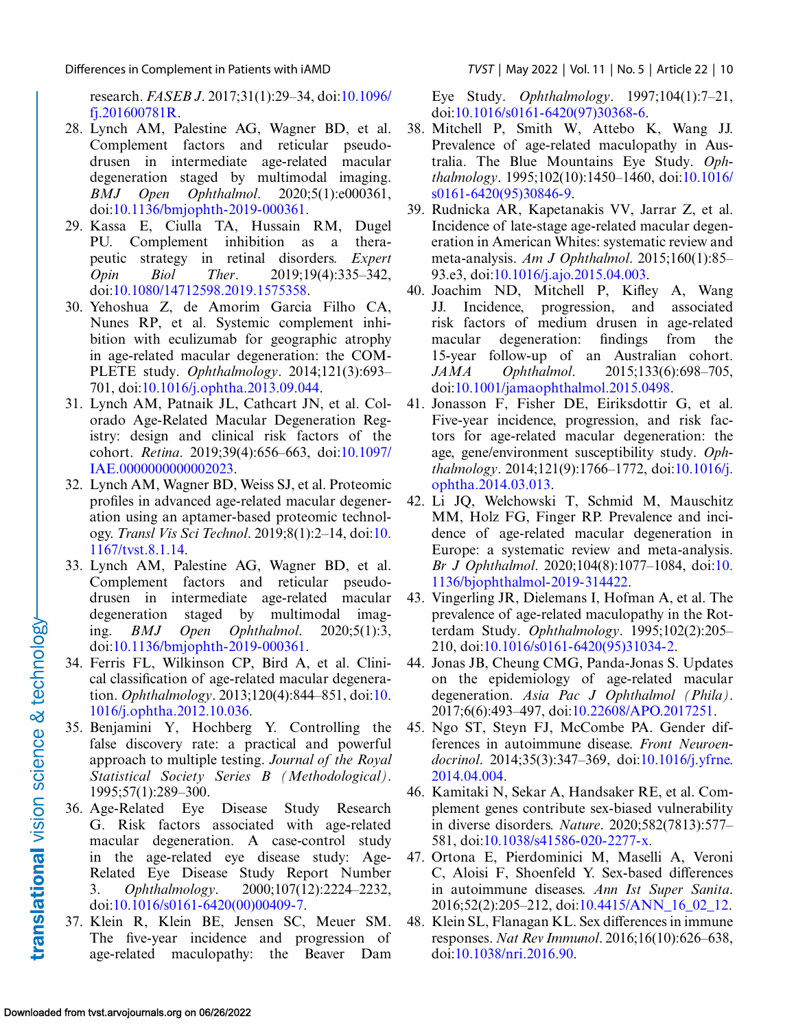<span id="page-9-0"></span>Differences in Complement in Patients with iAMD *TVST* | May 2022 | Vol. 11 | No. 5 | Article 22 | 10

research. *FASEB J*[. 2017;31\(1\):29–34, doi:10.1096/](http://doi.org/10.1096/fj.201600781R) fj.201600781R.

- 28. Lynch AM, Palestine AG, Wagner BD, et al. Complement factors and reticular pseudodrusen in intermediate age-related macular degeneration staged by multimodal imaging. *BMJ Open Ophthalmol*. 2020;5(1):e000361, doi[:10.1136/bmjophth-2019-000361.](http://doi.org/10.1136/bmjophth-2019-000361)
- 29. Kassa E, Ciulla TA, Hussain RM, Dugel PU. Complement inhibition as a therapeutic strategy in retinal disorders. *Expert Opin Biol Ther*. 2019;19(4):335–342, doi[:10.1080/14712598.2019.1575358.](http://doi.org/10.1080/14712598.2019.1575358)
- 30. Yehoshua Z, de Amorim Garcia Filho CA, Nunes RP, et al. Systemic complement inhibition with eculizumab for geographic atrophy in age-related macular degeneration: the COM-PLETE study. *Ophthalmology*. 2014;121(3):693– 701, doi[:10.1016/j.ophtha.2013.09.044.](http://doi.org/10.1016/j.ophtha.2013.09.044)
- 31. Lynch AM, Patnaik JL, Cathcart JN, et al. Colorado Age-Related Macular Degeneration Registry: design and clinical risk factors of the cohort. *Retina*[. 2019;39\(4\):656–663, doi:10.1097/](http://doi.org/10.1097/IAE.0000000000002023) IAE.0000000000002023.
- 32. Lynch AM, Wagner BD, Weiss SJ, et al. Proteomic profiles in advanced age-related macular degeneration using an aptamer-based proteomic technology. *Transl Vis Sci Technol*[. 2019;8\(1\):2–14, doi:10.](http://doi.org/10.1167/tvst.8.1.14) 1167/tvst.8.1.14.
- 33. Lynch AM, Palestine AG, Wagner BD, et al. Complement factors and reticular pseudodrusen in intermediate age-related macular degeneration staged by multimodal imaging. *BMJ Open Ophthalmol*. 2020;5(1):3, doi[:10.1136/bmjophth-2019-000361.](http://doi.org/10.1136/bmjophth-2019-000361)
- 34. Ferris FL, Wilkinson CP, Bird A, et al. Clinical classification of age-related macular degeneration. *Ophthalmology*[. 2013;120\(4\):844–851, doi:10.](http://doi.org/10.1016/j.ophtha.2012.10.036) 1016/j.ophtha.2012.10.036.
- 35. Benjamini Y, Hochberg Y. Controlling the false discovery rate: a practical and powerful approach to multiple testing. *Journal of the Royal Statistical Society Series B (Methodological)*. 1995;57(1):289–300.
- 36. Age-Related Eye Disease Study Research G. Risk factors associated with age-related macular degeneration. A case-control study in the age-related eye disease study: Age-Related Eye Disease Study Report Number 3. *Ophthalmology*. 2000;107(12):2224–2232, doi[:10.1016/s0161-6420\(00\)00409-7.](http://doi.org/10.1016/s0161-6420(00)00409-7)
- 37. Klein R, Klein BE, Jensen SC, Meuer SM. The five-year incidence and progression of age-related maculopathy: the Beaver Dam

Eye Study. *Ophthalmology*. 1997;104(1):7–21, doi[:10.1016/s0161-6420\(97\)30368-6.](http://doi.org/10.1016/s0161-6420(97)30368-6)

- 38. Mitchell P, Smith W, Attebo K, Wang JJ. Prevalence of age-related maculopathy in Australia. The Blue Mountains Eye Study. *Ophthalmology*[. 1995;102\(10\):1450–1460, doi:10.1016/](http://doi.org/10.1016/s0161-6420(95)30846-9) s0161-6420(95)30846-9.
- 39. Rudnicka AR, Kapetanakis VV, Jarrar Z, et al. Incidence of late-stage age-related macular degeneration in American Whites: systematic review and meta-analysis. *Am J Ophthalmol*. 2015;160(1):85– 93.e3, doi[:10.1016/j.ajo.2015.04.003.](http://doi.org/10.1016/j.ajo.2015.04.003)
- 40. Joachim ND, Mitchell P, Kifley A, Wang JJ. Incidence, progression, and associated risk factors of medium drusen in age-related macular degeneration: findings from the 15-year follow-up of an Australian cohort. *JAMA Ophthalmol*. 2015;133(6):698–705, doi[:10.1001/jamaophthalmol.2015.0498.](http://doi.org/10.1001/jamaophthalmol.2015.0498)
- 41. Jonasson F, Fisher DE, Eiriksdottir G, et al. Five-year incidence, progression, and risk factors for age-related macular degeneration: the age, gene/environment susceptibility study. *Ophthalmology*[. 2014;121\(9\):1766–1772, doi:10.1016/j.](http://doi.org/10.1016/j.ophtha.2014.03.013) ophtha.2014.03.013.
- 42. Li JQ, Welchowski T, Schmid M, Mauschitz MM, Holz FG, Finger RP. Prevalence and incidence of age-related macular degeneration in Europe: a systematic review and meta-analysis. *Br J Ophthalmol*. 2020;104(8):1077–1084, doi:10. [1136/bjophthalmol-2019-314422.](http://doi.org/10.1136/bjophthalmol-2019-314422)
- 43. Vingerling JR, Dielemans I, Hofman A, et al. The prevalence of age-related maculopathy in the Rotterdam Study. *Ophthalmology*. 1995;102(2):205– 210, doi[:10.1016/s0161-6420\(95\)31034-2.](http://doi.org/10.1016/s0161-6420(95)31034-2)
- 44. Jonas JB, Cheung CMG, Panda-Jonas S. Updates on the epidemiology of age-related macular degeneration. *Asia Pac J Ophthalmol (Phila)*. 2017;6(6):493–497, doi[:10.22608/APO.2017251.](http://doi.org/10.22608/APO.2017251)
- 45. Ngo ST, Steyn FJ, McCombe PA. Gender differences in autoimmune disease. *Front Neuroendocrinol*[. 2014;35\(3\):347–369, doi:10.1016/j.yfrne.](http://doi.org/10.1016/j.yfrne.2014.04.004) 2014.04.004.
- 46. Kamitaki N, Sekar A, Handsaker RE, et al. Complement genes contribute sex-biased vulnerability in diverse disorders. *Nature*. 2020;582(7813):577– 581, doi[:10.1038/s41586-020-2277-x.](http://doi.org/10.1038/s41586-020-2277-x)
- 47. Ortona E, Pierdominici M, Maselli A, Veroni C, Aloisi F, Shoenfeld Y. Sex-based differences in autoimmune diseases. *Ann Ist Super Sanita*. 2016;52(2):205–212, doi[:10.4415/ANN\\_16\\_02\\_12.](http://doi.org/10.4415/ANN101610021012)
- 48. Klein SL, Flanagan KL. Sex differences in immune responses. *Nat Rev Immunol*. 2016;16(10):626–638, doi[:10.1038/nri.2016.90.](http://doi.org/10.1038/nri.2016.90)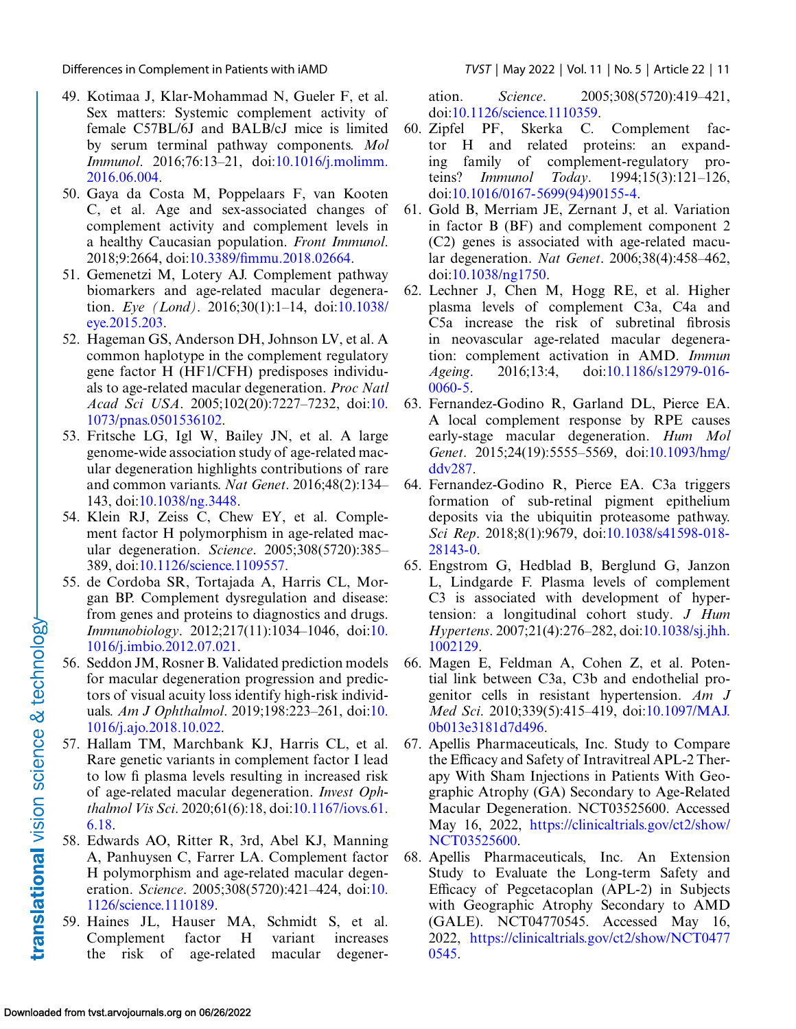<span id="page-10-0"></span>Differences in Complement in Patients with iAMD *TVST* | May 2022 | Vol. 11 | No. 5 | Article 22 | 11

- 49. Kotimaa J, Klar-Mohammad N, Gueler F, et al. Sex matters: Systemic complement activity of female C57BL/6J and BALB/cJ mice is limited by serum terminal pathway components. *Mol Immunol*[. 2016;76:13–21, doi:10.1016/j.molimm.](http://doi.org/10.1016/j.molimm.2016.06.004) 2016.06.004.
- 50. Gaya da Costa M, Poppelaars F, van Kooten C, et al. Age and sex-associated changes of complement activity and complement levels in a healthy Caucasian population. *Front Immunol*. 2018;9:2664, doi[:10.3389/fimmu.2018.02664.](http://doi.org/10.3389/fimmu.2018.02664)
- 51. Gemenetzi M, Lotery AJ. Complement pathway biomarkers and age-related macular degeneration. *Eye (Lond)*[. 2016;30\(1\):1–14, doi:10.1038/](http://doi.org/10.1038/eye.2015.203) eye.2015.203.
- 52. Hageman GS, Anderson DH, Johnson LV, et al. A common haplotype in the complement regulatory gene factor H (HF1/CFH) predisposes individuals to age-related macular degeneration. *Proc Natl Acad Sci USA*[. 2005;102\(20\):7227–7232, doi:10.](http://doi.org/10.1073/pnas.0501536102) 1073/pnas.0501536102.
- 53. Fritsche LG, Igl W, Bailey JN, et al. A large genome-wide association study of age-related macular degeneration highlights contributions of rare and common variants. *Nat Genet*. 2016;48(2):134– 143, doi[:10.1038/ng.3448.](http://doi.org/10.1038/ng.3448)
- 54. Klein RJ, Zeiss C, Chew EY, et al. Complement factor H polymorphism in age-related macular degeneration. *Science*. 2005;308(5720):385– 389, doi[:10.1126/science.1109557.](http://doi.org/10.1126/science.1109557)
- 55. de Cordoba SR, Tortajada A, Harris CL, Morgan BP. Complement dysregulation and disease: from genes and proteins to diagnostics and drugs. *Immunobiology*[. 2012;217\(11\):1034–1046, doi:10.](http://doi.org/10.1016/j.imbio.2012.07.021) 1016/j.imbio.2012.07.021.
- 56. Seddon JM, Rosner B. Validated prediction models for macular degeneration progression and predictors of visual acuity loss identify high-risk individuals. *Am J Ophthalmol*[. 2019;198:223–261, doi:10.](http://doi.org/10.1016/j.ajo.2018.10.022) 1016/j.ajo.2018.10.022.
- 57. Hallam TM, Marchbank KJ, Harris CL, et al. Rare genetic variants in complement factor I lead to low fi plasma levels resulting in increased risk of age-related macular degeneration. *Invest Ophthalmol Vis Sci*[. 2020;61\(6\):18, doi:10.1167/iovs.61.](http://doi.org/10.1167/iovs.61.6.18) 6.18.
- 58. Edwards AO, Ritter R, 3rd, Abel KJ, Manning A, Panhuysen C, Farrer LA. Complement factor H polymorphism and age-related macular degeneration. *Science*[. 2005;308\(5720\):421–424, doi:10.](http://doi.org/10.1126/science.1110189) 1126/science.1110189.
- 59. Haines JL, Hauser MA, Schmidt S, et al. Complement factor H variant increases the risk of age-related macular degener-

ation. *Science*. 2005;308(5720):419–421, doi[:10.1126/science.1110359.](http://doi.org/10.1126/science.1110359)

- 60. Zipfel PF, Skerka C. Complement factor H and related proteins: an expanding family of complement-regulatory proteins? *Immunol Today*. 1994;15(3):121–126, doi[:10.1016/0167-5699\(94\)90155-4.](http://doi.org/10.1016/0167-5699(94)90155-4)
- 61. Gold B, Merriam JE, Zernant J, et al. Variation in factor B (BF) and complement component 2 (C2) genes is associated with age-related macular degeneration. *Nat Genet*. 2006;38(4):458–462, doi[:10.1038/ng1750.](http://doi.org/10.1038/ng1750)
- 62. Lechner J, Chen M, Hogg RE, et al. Higher plasma levels of complement C3a, C4a and C5a increase the risk of subretinal fibrosis in neovascular age-related macular degeneration: complement activation in AMD. *Immun Ageing*[. 2016;13:4, doi:10.1186/s12979-016-](http://doi.org/10.1186/s12979-016-0060-5) 0060-5.
- 63. Fernandez-Godino R, Garland DL, Pierce EA. A local complement response by RPE causes early-stage macular degeneration. *Hum Mol Genet*[. 2015;24\(19\):5555–5569, doi:10.1093/hmg/](http://doi.org/10.1093/hmg/ddv287) ddv287.
- 64. Fernandez-Godino R, Pierce EA. C3a triggers formation of sub-retinal pigment epithelium deposits via the ubiquitin proteasome pathway. *Sci Rep*[. 2018;8\(1\):9679, doi:10.1038/s41598-018-](http://doi.org/10.1038/s41598-018-28143-0) 28143-0.
- 65. Engstrom G, Hedblad B, Berglund G, Janzon L, Lindgarde F. Plasma levels of complement C3 is associated with development of hypertension: a longitudinal cohort study. *J Hum Hypertens*[. 2007;21\(4\):276–282, doi:10.1038/sj.jhh.](http://doi.org/10.1038/sj.jhh.1002129) 1002129.
- 66. Magen E, Feldman A, Cohen Z, et al. Potential link between C3a, C3b and endothelial progenitor cells in resistant hypertension. *Am J Med Sci*[. 2010;339\(5\):415–419, doi:10.1097/MAJ.](http://doi.org/10.1097/MAJ.0b013e3181d7d496) 0b013e3181d7d496.
- 67. Apellis Pharmaceuticals, Inc. Study to Compare the Efficacy and Safety of Intravitreal APL-2 Therapy With Sham Injections in Patients With Geographic Atrophy (GA) Secondary to Age-Related Macular Degeneration. NCT03525600. Accessed May 16, 2022, [https://clinicaltrials.gov/ct2/show/](https://clinicaltrials.gov/ct2/show/NCT03525600) NCT03525600.
- 68. Apellis Pharmaceuticals, Inc. An Extension Study to Evaluate the Long-term Safety and Efficacy of Pegcetacoplan (APL-2) in Subjects with Geographic Atrophy Secondary to AMD (GALE). NCT04770545. Accessed May 16, 2022, [https://clinicaltrials.gov/ct2/show/NCT0477](https://clinicaltrials.gov/ct2/show/NCT04770545) 0545.